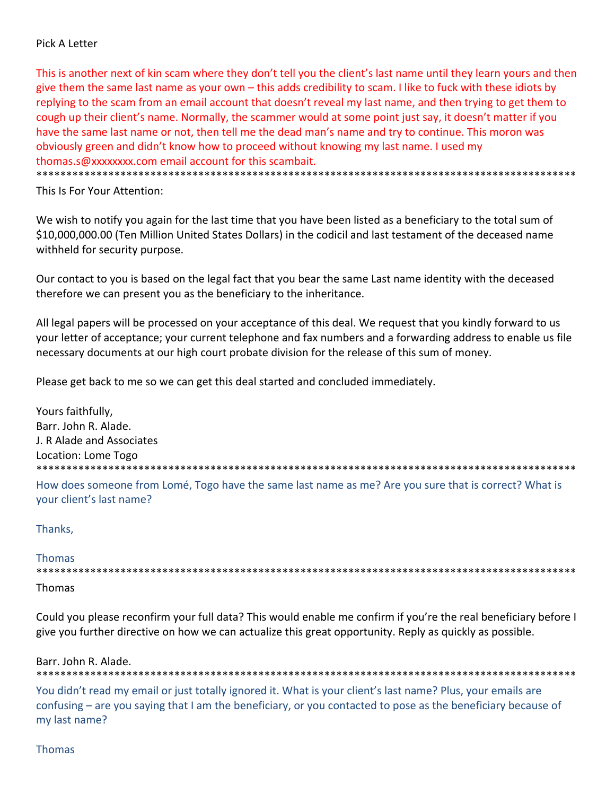## Pick A Letter

This is another next of kin scam where they don't tell you the client's last name until they learn yours and then give them the same last name as your own – this adds credibility to scam. I like to fuck with these idiots by replying to the scam from an email account that doesn't reveal my last name, and then trying to get them to cough up their client's name. Normally, the scammer would at some point just say, it doesn't matter if you have the same last name or not, then tell me the dead man's name and try to continue. This moron was obviously green and didn't know how to proceed without knowing my last name. I used my thomas.s@xxxxxxxx.com email account for this scambait.

\*\*\*\*\*\*\*\*\*\*\*\*\*\*\*\*\*\*\*\*\*\*\*\*\*\*\*\*\*\*\*\*\*\*\*\*\*\*\*\*\*\*\*\*\*\*\*\*\*\*\*\*\*\*\*\*\*\*\*\*\*\*\*\*\*\*\*\*\*\*\*\*\*\*\*\*\*\*\*\*\*\*\*\*\*\*\*\*\*\*

This Is For Your Attention:

We wish to notify you again for the last time that you have been listed as a beneficiary to the total sum of \$10,000,000.00 (Ten Million United States Dollars) in the codicil and last testament of the deceased name withheld for security purpose.

Our contact to you is based on the legal fact that you bear the same Last name identity with the deceased therefore we can present you as the beneficiary to the inheritance.

All legal papers will be processed on your acceptance of this deal. We request that you kindly forward to us your letter of acceptance; your current telephone and fax numbers and a forwarding address to enable us file necessary documents at our high court probate division for the release of this sum of money.

Please get back to me so we can get this deal started and concluded immediately.

Yours faithfully, Barr. John R. Alade. J. R Alade and Associates Location: Lome Togo \*\*\*\*\*\*\*\*\*\*\*\*\*\*\*\*\*\*\*\*\*\*\*\*\*\*\*\*\*\*\*\*\*\*\*\*\*\*\*\*\*\*\*\*\*\*\*\*\*\*\*\*\*\*\*\*\*\*\*\*\*\*\*\*\*\*\*\*\*\*\*\*\*\*\*\*\*\*\*\*\*\*\*\*\*\*\*\*\*\*

How does someone from Lomé, Togo have the same last name as me? Are you sure that is correct? What is your client's last name?

#### Thanks,

Thomas \*\*\*\*\*\*\*\*\*\*\*\*\*\*\*\*\*\*\*\*\*\*\*\*\*\*\*\*\*\*\*\*\*\*\*\*\*\*\*\*\*\*\*\*\*\*\*\*\*\*\*\*\*\*\*\*\*\*\*\*\*\*\*\*\*\*\*\*\*\*\*\*\*\*\*\*\*\*\*\*\*\*\*\*\*\*\*\*\*\*

Thomas

Could you please reconfirm your full data? This would enable me confirm if you're the real beneficiary before I give you further directive on how we can actualize this great opportunity. Reply as quickly as possible.

\*\*\*\*\*\*\*\*\*\*\*\*\*\*\*\*\*\*\*\*\*\*\*\*\*\*\*\*\*\*\*\*\*\*\*\*\*\*\*\*\*\*\*\*\*\*\*\*\*\*\*\*\*\*\*\*\*\*\*\*\*\*\*\*\*\*\*\*\*\*\*\*\*\*\*\*\*\*\*\*\*\*\*\*\*\*\*\*\*\*

#### Barr. John R. Alade.

You didn't read my email or just totally ignored it. What is your client's last name? Plus, your emails are confusing – are you saying that I am the beneficiary, or you contacted to pose as the beneficiary because of my last name?

#### Thomas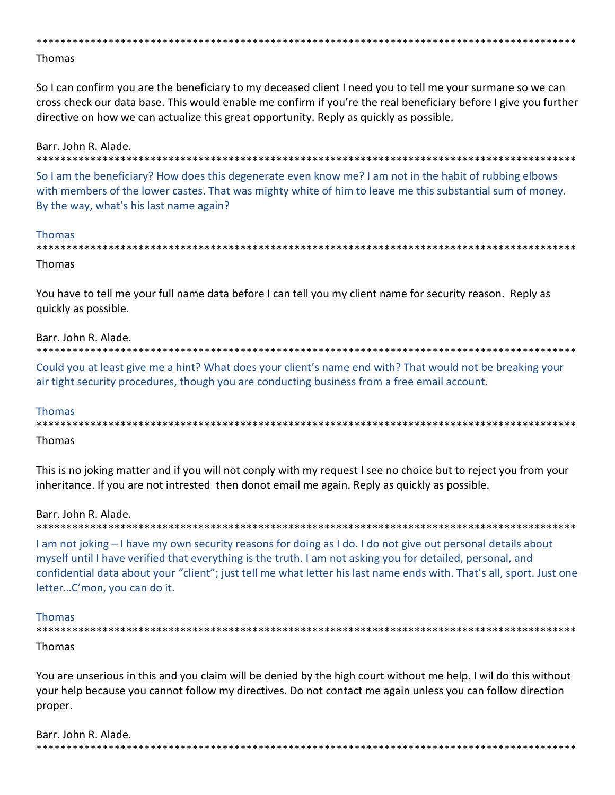## **Thomas**

So I can confirm you are the beneficiary to my deceased client I need you to tell me your surmane so we can cross check our data base. This would enable me confirm if you're the real beneficiary before I give you further directive on how we can actualize this great opportunity. Reply as quickly as possible.

Barr. John R. Alade. .<br>\* \* \* \* \* \* \* \* \* \* \* \* \* \* \* \* \* \* \* **\*\*\*\*\*\*\*\*\*\*\*\*\*\*\*** 

So I am the beneficiary? How does this degenerate even know me? I am not in the habit of rubbing elbows with members of the lower castes. That was mighty white of him to leave me this substantial sum of money. By the way, what's his last name again?

#### **Thomas**

| Thomas |
|--------|

You have to tell me your full name data before I can tell you my client name for security reason. Reply as quickly as possible.

#### Barr. John R. Alade.

\*\*\*\*\*\*\*\*\*\*\*\*\*\*\*\*\* \*\*\*\*\*\*\*\*\*\*\*\*\*\*\*\*\*\*\*\*\*\*\*

Could you at least give me a hint? What does your client's name end with? That would not be breaking your air tight security procedures, though you are conducting business from a free email account.

#### **Thomas**

# **Thomas**

This is no joking matter and if you will not conply with my request I see no choice but to reject you from your inheritance. If you are not intrested then donot email me again. Reply as quickly as possible.

# Barr. John R. Alade.

I am not joking – I have my own security reasons for doing as I do. I do not give out personal details about myself until I have verified that everything is the truth. I am not asking you for detailed, personal, and confidential data about your "client"; just tell me what letter his last name ends with. That's all, sport. Just one letter...C'mon, you can do it.

#### Thomas

Thomas

You are unserious in this and you claim will be denied by the high court without me help. I wil do this without your help because you cannot follow my directives. Do not contact me again unless you can follow direction proper.

Barr. John R. Alade.